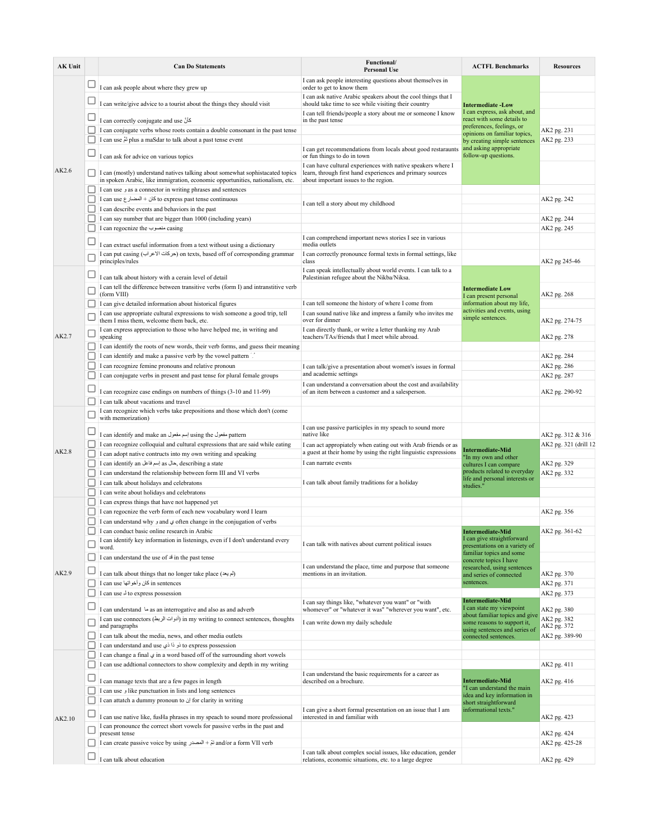| <b>AK Unit</b> |        | <b>Can Do Statements</b>                                                                                                                                                                                                               | Functional/<br><b>Personal Use</b>                                                                                                                                 | <b>ACTFL Benchmarks</b>                                                                                                                                                                                                                | <b>Resources</b>           |
|----------------|--------|----------------------------------------------------------------------------------------------------------------------------------------------------------------------------------------------------------------------------------------|--------------------------------------------------------------------------------------------------------------------------------------------------------------------|----------------------------------------------------------------------------------------------------------------------------------------------------------------------------------------------------------------------------------------|----------------------------|
| AK2.6          |        | I can ask people about where they grew up                                                                                                                                                                                              | I can ask people interesting questions about themselves in<br>order to get to know them                                                                            | <b>Intermediate -Low</b><br>I can express, ask about, and<br>react with some details to<br>preferences, feelings, or<br>opinions on familiar topics,<br>by creating simple sentences<br>and asking appropriate<br>follow-up questions. |                            |
|                |        | I can write/give advice to a tourist about the things they should visit                                                                                                                                                                | I can ask native Arabic speakers about the cool things that I<br>should take time to see while visiting their country                                              |                                                                                                                                                                                                                                        |                            |
|                | □      | I can correctly conjugate and use كأنّ                                                                                                                                                                                                 | I can tell friends/people a story about me or someone I know<br>in the past tense                                                                                  |                                                                                                                                                                                                                                        |                            |
|                |        | I can conjugate verbs whose roots contain a double consonant in the past tense                                                                                                                                                         |                                                                                                                                                                    |                                                                                                                                                                                                                                        | AK2 pg. 231                |
|                |        | I can use $\stackrel{<}{\sim}$ plus a maSdar to talk about a past tense event                                                                                                                                                          |                                                                                                                                                                    |                                                                                                                                                                                                                                        | AK2 pg. 233                |
|                |        | I can ask for advice on various topics                                                                                                                                                                                                 | I can get recommendations from locals about good restaraunts<br>or fun things to do in town                                                                        |                                                                                                                                                                                                                                        |                            |
|                |        | I can (mostly) understand natives talking about somewhat sophistacated topics<br>in spoken Arabic, like immigration, economic opportunities, nationalism, etc.<br>I can use $\epsilon$ as a connector in writing phrases and sentences | I can have cultural experiences with native speakers where I<br>learn, through first hand experiences and primary sources<br>about important issues to the region. |                                                                                                                                                                                                                                        |                            |
|                |        | I can use ۶ كان + المضار ع to express past tense continuous                                                                                                                                                                            |                                                                                                                                                                    |                                                                                                                                                                                                                                        | AK2 pg. 242                |
|                |        | I can describe events and behaviors in the past                                                                                                                                                                                        | I can tell a story about my childhood                                                                                                                              |                                                                                                                                                                                                                                        |                            |
|                |        | I can say number that are bigger than 1000 (including years)                                                                                                                                                                           |                                                                                                                                                                    |                                                                                                                                                                                                                                        | AK2 pg. 244                |
|                |        | I can regocnize the منصوب I                                                                                                                                                                                                            |                                                                                                                                                                    |                                                                                                                                                                                                                                        | AK2 pg. 245                |
|                |        | I can extract useful information from a text without using a dictionary                                                                                                                                                                | I can comprehend important news stories I see in various<br>media outlets                                                                                          |                                                                                                                                                                                                                                        |                            |
|                |        | I can put casing (حركات الأعراب) on texts, based off of corresponding grammar<br>principles/rules                                                                                                                                      | I can correctly pronounce formal texts in formal settings, like<br>class                                                                                           |                                                                                                                                                                                                                                        | AK2 pg 245-46              |
|                | ⊔      | I can talk about history with a cerain level of detail                                                                                                                                                                                 | I can speak intellectually about world events. I can talk to a<br>Palestinian refugee about the Nikba/Niksa.                                                       | <b>Intermediate Low</b><br>I can present personal<br>information about my life,<br>activities and events, using<br>simple sentences.                                                                                                   |                            |
|                |        | I can tell the difference between transitive verbs (form I) and intranstitive verb<br>(form VIII)                                                                                                                                      |                                                                                                                                                                    |                                                                                                                                                                                                                                        | AK2 pg. 268                |
|                |        | I can give detailed information about historical figures                                                                                                                                                                               | I can tell someone the history of where I come from                                                                                                                |                                                                                                                                                                                                                                        |                            |
|                |        | I can use appropriate cultural expressions to wish someone a good trip, tell<br>them I miss them, welcome them back, etc.                                                                                                              | I can sound native like and impress a family who invites me<br>over for dinner                                                                                     |                                                                                                                                                                                                                                        | AK2 pg. 274-75             |
| AK2.7          |        | I can express appreciation to those who have helped me, in writing and<br>speaking                                                                                                                                                     | I can directly thank, or write a letter thanking my Arab<br>teachers/TAs/friends that I meet while abroad.                                                         |                                                                                                                                                                                                                                        | AK2 pg. 278                |
|                |        | I can identify the roots of new words, their verb forms, and guess their meaning<br>I can identify and make a passive verb by the vowel pattern                                                                                        |                                                                                                                                                                    |                                                                                                                                                                                                                                        |                            |
|                | ш      | I can recognize femine pronouns and relative pronoun                                                                                                                                                                                   | I can talk/give a presentation about women's issues in formal                                                                                                      |                                                                                                                                                                                                                                        | AK2 pg. 284<br>AK2 pg. 286 |
|                |        | I can conjugate verbs in present and past tense for plural female groups                                                                                                                                                               | and academic settings                                                                                                                                              |                                                                                                                                                                                                                                        | AK2 pg. 287                |
|                |        | I can recognize case endings on numbers of things (3-10 and 11-99)                                                                                                                                                                     | I can understand a conversation about the cost and availability<br>of an item between a customer and a salesperson.                                                |                                                                                                                                                                                                                                        | AK2 pg. 290-92             |
|                |        | I can talk about vacations and travel                                                                                                                                                                                                  |                                                                                                                                                                    |                                                                                                                                                                                                                                        |                            |
| AK2.8          |        | I can recognize which verbs take prepositions and those which don't (come<br>with memorization)                                                                                                                                        |                                                                                                                                                                    |                                                                                                                                                                                                                                        |                            |
|                |        | I can identify and make an إسم مفعول using the إسم مفعول T                                                                                                                                                                             | I can use passive participles in my speach to sound more<br>native like                                                                                            |                                                                                                                                                                                                                                        | AK2 pg. 312 & 316          |
|                |        | I can recognize colloquial and cultural expressions that are said while eating                                                                                                                                                         | I can act appropiately when eating out with Arab friends or as                                                                                                     | <b>Intermediate-Mid</b>                                                                                                                                                                                                                | AK2 pg. 321 (drill 12      |
|                |        | I can adopt native contructs into my own writing and speaking                                                                                                                                                                          | a guest at their home by using the right linguistic expressions                                                                                                    | "In my own and other                                                                                                                                                                                                                   |                            |
|                | п      | I can identify an إسم فاعل as لs describing a state<br>I can understand the relationship between form III and VI verbs                                                                                                                 | I can narrate events                                                                                                                                               | cultures I can compare<br>products related to everyday                                                                                                                                                                                 | AK2 pg. 329<br>AK2 pg. 332 |
|                | П      | I can talk about holidays and celebratons                                                                                                                                                                                              | I can talk about family traditions for a holiday                                                                                                                   | life and personal interests or                                                                                                                                                                                                         |                            |
|                |        | I can write about holidays and celebratons                                                                                                                                                                                             |                                                                                                                                                                    | studies."                                                                                                                                                                                                                              |                            |
| AK2.9          |        | I can express things that have not happened yet                                                                                                                                                                                        |                                                                                                                                                                    |                                                                                                                                                                                                                                        |                            |
|                |        | I can regocnize the verb form of each new vocabulary word I learn                                                                                                                                                                      |                                                                                                                                                                    |                                                                                                                                                                                                                                        | AK2 pg. 356                |
|                |        | I can understand why and $\omega$ often change in the conjugation of verbs                                                                                                                                                             |                                                                                                                                                                    |                                                                                                                                                                                                                                        |                            |
|                |        | I can conduct basic online research in Arabic                                                                                                                                                                                          | I can talk with natives about current political issues                                                                                                             | <b>Intermediate-Mid</b><br>I can give straightforward<br>presentations on a variety of<br>familiar topics and some                                                                                                                     | AK2 pg. 361-62             |
|                | $\Box$ | I can identify key information in listenings, even if I don't understand every<br>word.                                                                                                                                                |                                                                                                                                                                    |                                                                                                                                                                                                                                        |                            |
|                |        | I can understand the use of $\triangleq$ in the past tense                                                                                                                                                                             | I can understand the place, time and purpose that someone                                                                                                          | concrete topics I have<br>researched, using sentences                                                                                                                                                                                  |                            |
|                |        | I can talk about things that no longer take place (لم يعد)                                                                                                                                                                             | mentions in an invitation.                                                                                                                                         | and series of connected                                                                                                                                                                                                                | AK2 pg. 370                |
|                |        | I can use كان وأخواتها I can use                                                                                                                                                                                                       |                                                                                                                                                                    | sentences.                                                                                                                                                                                                                             | AK2 pg. 371                |
|                |        | I can use $\frac{1}{2}$ to express possession                                                                                                                                                                                          |                                                                                                                                                                    |                                                                                                                                                                                                                                        | AK2 pg. 373                |
|                |        | I can understand $\rightarrow$ as an interrogative and also as and adverb                                                                                                                                                              | I can say things like, "whatever you want" or "with<br>whomever" or "whatever it was" "wherever you want", etc.                                                    | <b>Intermediate-Mid</b><br>I can state my viewpoint                                                                                                                                                                                    | AK2 pg. 380                |
|                |        | I can use connectors (أدوات الربط) in my writing to connect sentences, thoughts                                                                                                                                                        |                                                                                                                                                                    | about familiar topics and give                                                                                                                                                                                                         | AK2 pg. 382                |
|                |        | and paragraphs                                                                                                                                                                                                                         | I can write down my daily schedule                                                                                                                                 | some reasons to support it,<br>using sentences and series of                                                                                                                                                                           | AK2 pg. 372                |
|                |        | I can talk about the media, news, and other media outlets                                                                                                                                                                              |                                                                                                                                                                    | connected sentences.                                                                                                                                                                                                                   | AK2 pg. 389-90             |
|                |        | to express possession ذو ذا ذي I can understand and use<br>I can change a final $\varphi$ in a word based off of the surrounding short vowels                                                                                          |                                                                                                                                                                    |                                                                                                                                                                                                                                        |                            |
| AK2.10         | ш      | I can use addtional connectors to show complexity and depth in my writing                                                                                                                                                              |                                                                                                                                                                    |                                                                                                                                                                                                                                        | AK2 pg. 411                |
|                | □      |                                                                                                                                                                                                                                        | I can understand the basic requirements for a career as                                                                                                            |                                                                                                                                                                                                                                        |                            |
|                |        | I can manage texts that are a few pages in length<br>I can use j like punctuation in lists and long sentences                                                                                                                          | described on a brochure.                                                                                                                                           | <b>Intermediate-Mid</b><br>"I can understand the main                                                                                                                                                                                  | AK2 pg. 416                |
|                |        | $\Box$ I can attatch a dummy pronoun to $\Diamond$ for clarity in writing                                                                                                                                                              |                                                                                                                                                                    | idea and key information in                                                                                                                                                                                                            |                            |
|                |        |                                                                                                                                                                                                                                        | I can give a short formal presentation on an issue that I am                                                                                                       | short straightforward<br>informational texts."                                                                                                                                                                                         |                            |
|                |        | I can use native like, fusHa phrases in my speach to sound more professional<br>I can pronounce the correct short vowels for passive verbs in the past and                                                                             | interested in and familiar with                                                                                                                                    |                                                                                                                                                                                                                                        | AK2 pg. 423                |
|                |        | presesnt tense                                                                                                                                                                                                                         |                                                                                                                                                                    |                                                                                                                                                                                                                                        | AK2 pg. 424                |
|                |        | I can create passive voice by using تمّ + المصدر I can create passive voice by using تمّ + المصدر                                                                                                                                      | I can talk about complex social issues, like education, gender                                                                                                     |                                                                                                                                                                                                                                        | AK2 pg. 425-28             |
|                |        | I can talk about education                                                                                                                                                                                                             | relations, economic situations, etc. to a large degree                                                                                                             |                                                                                                                                                                                                                                        | AK2 pg. 429                |